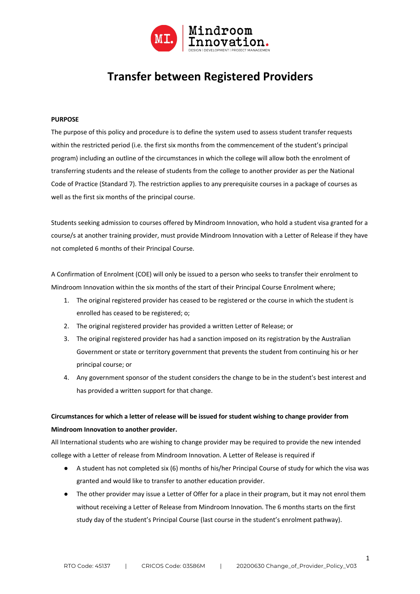

# **Transfer between Registered Providers**

## **PURPOSE**

The purpose of this policy and procedure is to define the system used to assess student transfer requests within the restricted period (i.e. the first six months from the commencement of the student's principal program) including an outline of the circumstances in which the college will allow both the enrolment of transferring students and the release of students from the college to another provider as per the National Code of Practice (Standard 7). The restriction applies to any prerequisite courses in a package of courses as well as the first six months of the principal course.

Students seeking admission to courses offered by Mindroom Innovation, who hold a student visa granted for a course/s at another training provider, must provide Mindroom Innovation with a Letter of Release if they have not completed 6 months of their Principal Course.

A Confirmation of Enrolment (COE) will only be issued to a person who seeks to transfer their enrolment to Mindroom Innovation within the six months of the start of their Principal Course Enrolment where;

- 1. The original registered provider has ceased to be registered or the course in which the student is enrolled has ceased to be registered; o;
- 2. The original registered provider has provided a written Letter of Release; or
- 3. The original registered provider has had a sanction imposed on its registration by the Australian Government or state or territory government that prevents the student from continuing his or her principal course; or
- 4. Any government sponsor of the student considers the change to be in the student's best interest and has provided a written support for that change.

# **Circumstances for which a letter of release will be issued for student wishing to change provider from Mindroom Innovation to another provider.**

All International students who are wishing to change provider may be required to provide the new intended college with a Letter of release from Mindroom Innovation. A Letter of Release is required if

- A student has not completed six (6) months of his/her Principal Course of study for which the visa was granted and would like to transfer to another education provider.
- The other provider may issue a Letter of Offer for a place in their program, but it may not enrol them without receiving a Letter of Release from Mindroom Innovation. The 6 months starts on the first study day of the student's Principal Course (last course in the student's enrolment pathway).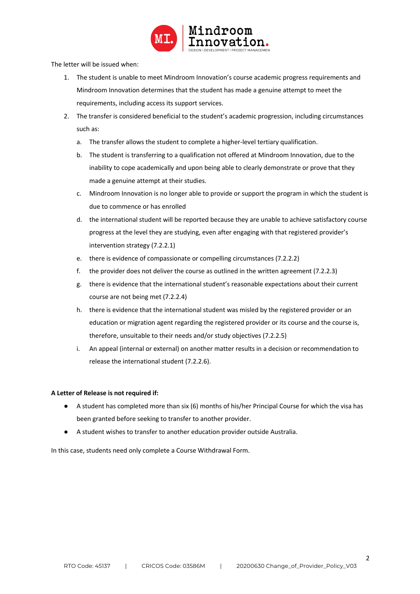

The letter will be issued when:

- 1. The student is unable to meet Mindroom Innovation's course academic progress requirements and Mindroom Innovation determines that the student has made a genuine attempt to meet the requirements, including access its support services.
- 2. The transfer is considered beneficial to the student's academic progression, including circumstances such as:
	- a. The transfer allows the student to complete a higher-level tertiary qualification.
	- b. The student is transferring to a qualification not offered at Mindroom Innovation, due to the inability to cope academically and upon being able to clearly demonstrate or prove that they made a genuine attempt at their studies.
	- c. Mindroom Innovation is no longer able to provide or support the program in which the student is due to commence or has enrolled
	- d. the international student will be reported because they are unable to achieve satisfactory course progress at the level they are studying, even after engaging with that registered provider's intervention strategy (7.2.2.1)
	- e. there is evidence of compassionate or compelling circumstances (7.2.2.2)
	- f. the provider does not deliver the course as outlined in the written agreement (7.2.2.3)
	- g. there is evidence that the international student's reasonable expectations about their current course are not being met (7.2.2.4)
	- h. there is evidence that the international student was misled by the registered provider or an education or migration agent regarding the registered provider or its course and the course is, therefore, unsuitable to their needs and/or study objectives (7.2.2.5)
	- i. An appeal (internal or external) on another matter results in a decision or recommendation to release the international student (7.2.2.6).

# **A Letter of Release is not required if:**

- A student has completed more than six (6) months of his/her Principal Course for which the visa has been granted before seeking to transfer to another provider.
- A student wishes to transfer to another education provider outside Australia.

In this case, students need only complete a Course Withdrawal Form.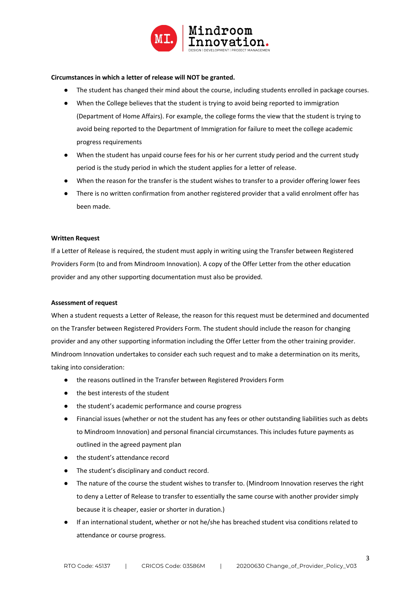

### **Circumstances in which a letter of release will NOT be granted.**

- The student has changed their mind about the course, including students enrolled in package courses.
- When the College believes that the student is trying to avoid being reported to immigration (Department of Home Affairs). For example, the college forms the view that the student is trying to avoid being reported to the Department of Immigration for failure to meet the college academic progress requirements
- When the student has unpaid course fees for his or her current study period and the current study period is the study period in which the student applies for a letter of release.
- When the reason for the transfer is the student wishes to transfer to a provider offering lower fees
- There is no written confirmation from another registered provider that a valid enrolment offer has been made.

#### **Written Request**

If a Letter of Release is required, the student must apply in writing using the Transfer between Registered Providers Form (to and from Mindroom Innovation). A copy of the Offer Letter from the other education provider and any other supporting documentation must also be provided.

#### **Assessment of request**

When a student requests a Letter of Release, the reason for this request must be determined and documented on the Transfer between Registered Providers Form. The student should include the reason for changing provider and any other supporting information including the Offer Letter from the other training provider. Mindroom Innovation undertakes to consider each such request and to make a determination on its merits, taking into consideration:

- the reasons outlined in the Transfer between Registered Providers Form
- the best interests of the student
- the student's academic performance and course progress
- Financial issues (whether or not the student has any fees or other outstanding liabilities such as debts to Mindroom Innovation) and personal financial circumstances. This includes future payments as outlined in the agreed payment plan
- the student's attendance record
- The student's disciplinary and conduct record.
- The nature of the course the student wishes to transfer to. (Mindroom Innovation reserves the right to deny a Letter of Release to transfer to essentially the same course with another provider simply because it is cheaper, easier or shorter in duration.)
- If an international student, whether or not he/she has breached student visa conditions related to attendance or course progress.